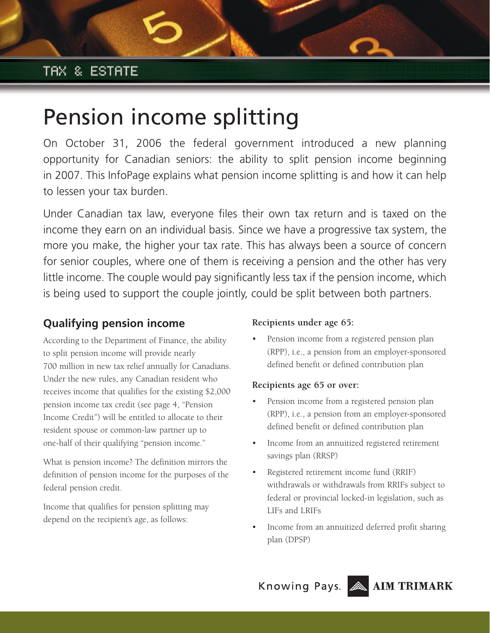# Pension income splitting

On October 31, 2006 the federal government introduced a new planning opportunity for Canadian seniors: the ability to split pension income beginning in 2007. This InfoPage explains what pension income splitting is and how it can help to lessen your tax burden.

Under Canadian tax law, everyone files their own tax return and is taxed on the income they earn on an individual basis. Since we have a progressive tax system, the more you make, the higher your tax rate. This has always been a source of concern for senior couples, where one of them is receiving a pension and the other has very little income. The couple would pay significantly less tax if the pension income, which is being used to support the couple jointly, could be split between both partners.

## **Qualifying pension income**

According to the Department of Finance, the ability to split pension income will provide nearly 700 million in new tax relief annually for Canadians. Under the new rules, any Canadian resident who receives income that qualifies for the existing \$2,000 pension income tax credit (see page 4, "Pension Income Credit") will be entitled to allocate to their resident spouse or common-law partner up to one-half of their qualifying "pension income."

What is pension income? The definition mirrors the definition of pension income for the purposes of the federal pension credit.

Income that qualifies for pension splitting may depend on the recipient's age, as follows:

## **Recipients under age 65:**

Pension income from a registered pension plan (RPP), i.e., a pension from an employer-sponsored defined benefit or defined contribution plan

## **Recipients age 65 or over:**

- Pension income from a registered pension plan (RPP), i.e., a pension from an employer-sponsored defined benefit or defined contribution plan
- Income from an annuitized registered retirement savings plan (RRSP)
- Registered retirement income fund (RRIF) withdrawals or withdrawals from RRIFs subject to federal or provincial locked-in legislation, such as LIFs and LRIFs
- Income from an annuitized deferred profit sharing plan (DPSP)

Knowing Pays. AIM TRIMARK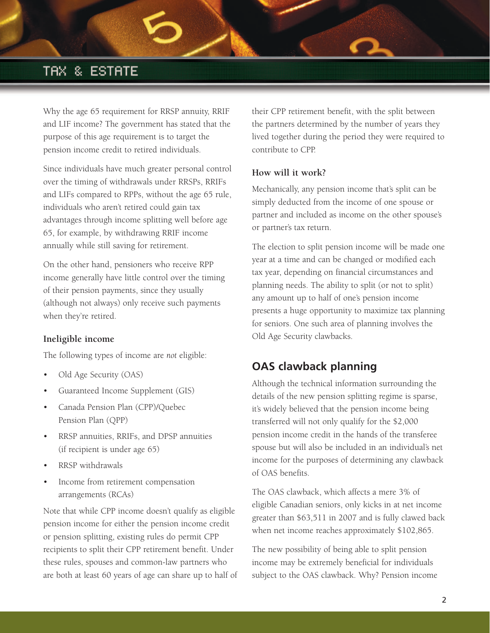Why the age 65 requirement for RRSP annuity, RRIF and LIF income? The government has stated that the purpose of this age requirement is to target the pension income credit to retired individuals.

Since individuals have much greater personal control over the timing of withdrawals under RRSPs, RRIFs and LIFs compared to RPPs, without the age 65 rule, individuals who aren't retired could gain tax advantages through income splitting well before age 65, for example, by withdrawing RRIF income annually while still saving for retirement.

On the other hand, pensioners who receive RPP income generally have little control over the timing of their pension payments, since they usually (although not always) only receive such payments when they're retired.

#### **Ineligible income**

The following types of income are *not* eligible:

- Old Age Security (OAS)
- Guaranteed Income Supplement (GIS)
- Canada Pension Plan (CPP)/Quebec Pension Plan (QPP)
- RRSP annuities, RRIFs, and DPSP annuities (if recipient is under age 65)
- RRSP withdrawals
- Income from retirement compensation arrangements (RCAs)

Note that while CPP income doesn't qualify as eligible pension income for either the pension income credit or pension splitting, existing rules do permit CPP recipients to split their CPP retirement benefit. Under these rules, spouses and common-law partners who are both at least 60 years of age can share up to half of their CPP retirement benefit, with the split between the partners determined by the number of years they lived together during the period they were required to contribute to CPP.

#### **How will it work?**

Mechanically, any pension income that's split can be simply deducted from the income of one spouse or partner and included as income on the other spouse's or partner's tax return.

The election to split pension income will be made one year at a time and can be changed or modified each tax year, depending on financial circumstances and planning needs. The ability to split (or not to split) any amount up to half of one's pension income presents a huge opportunity to maximize tax planning for seniors. One such area of planning involves the Old Age Security clawbacks.

## **OAS clawback planning**

Although the technical information surrounding the details of the new pension splitting regime is sparse, it's widely believed that the pension income being transferred will not only qualify for the \$2,000 pension income credit in the hands of the transferee spouse but will also be included in an individual's net income for the purposes of determining any clawback of OAS benefits.

The OAS clawback, which affects a mere 3% of eligible Canadian seniors, only kicks in at net income greater than \$63,511 in 2007 and is fully clawed back when net income reaches approximately \$102,865.

The new possibility of being able to split pension income may be extremely beneficial for individuals subject to the OAS clawback. Why? Pension income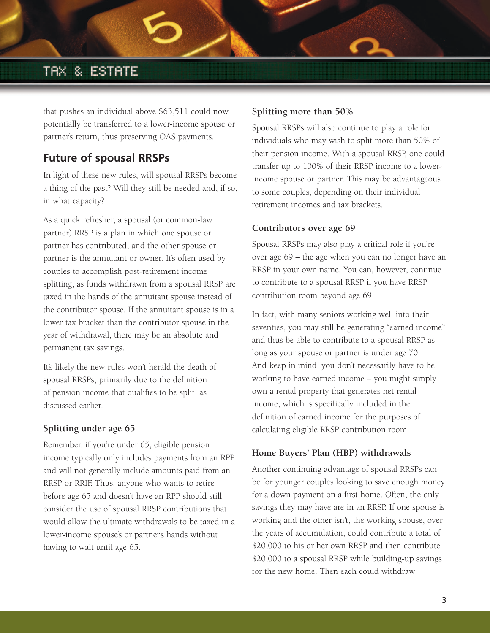that pushes an individual above \$63,511 could now potentially be transferred to a lower-income spouse or partner's return, thus preserving OAS payments.

## **Future of spousal RRSPs**

In light of these new rules, will spousal RRSPs become a thing of the past? Will they still be needed and, if so, in what capacity?

As a quick refresher, a spousal (or common-law partner) RRSP is a plan in which one spouse or partner has contributed, and the other spouse or partner is the annuitant or owner. It's often used by couples to accomplish post-retirement income splitting, as funds withdrawn from a spousal RRSP are taxed in the hands of the annuitant spouse instead of the contributor spouse. If the annuitant spouse is in a lower tax bracket than the contributor spouse in the year of withdrawal, there may be an absolute and permanent tax savings.

It's likely the new rules won't herald the death of spousal RRSPs, primarily due to the definition of pension income that qualifies to be split, as discussed earlier.

## **Splitting under age 65**

Remember, if you're under 65, eligible pension income typically only includes payments from an RPP and will not generally include amounts paid from an RRSP or RRIF. Thus, anyone who wants to retire before age 65 and doesn't have an RPP should still consider the use of spousal RRSP contributions that would allow the ultimate withdrawals to be taxed in a lower-income spouse's or partner's hands without having to wait until age 65.

#### **Splitting more than 50%**

Spousal RRSPs will also continue to play a role for individuals who may wish to split more than 50% of their pension income. With a spousal RRSP, one could transfer up to 100% of their RRSP income to a lowerincome spouse or partner. This may be advantageous to some couples, depending on their individual retirement incomes and tax brackets.

#### **Contributors over age 69**

Spousal RRSPs may also play a critical role if you're over age 69 – the age when you can no longer have an RRSP in your own name. You can, however, continue to contribute to a spousal RRSP if you have RRSP contribution room beyond age 69.

In fact, with many seniors working well into their seventies, you may still be generating "earned income" and thus be able to contribute to a spousal RRSP as long as your spouse or partner is under age 70. And keep in mind, you don't necessarily have to be working to have earned income – you might simply own a rental property that generates net rental income, which is specifically included in the definition of earned income for the purposes of calculating eligible RRSP contribution room.

#### **Home Buyers' Plan (HBP) withdrawals**

Another continuing advantage of spousal RRSPs can be for younger couples looking to save enough money for a down payment on a first home. Often, the only savings they may have are in an RRSP. If one spouse is working and the other isn't, the working spouse, over the years of accumulation, could contribute a total of \$20,000 to his or her own RRSP and then contribute \$20,000 to a spousal RRSP while building-up savings for the new home. Then each could withdraw